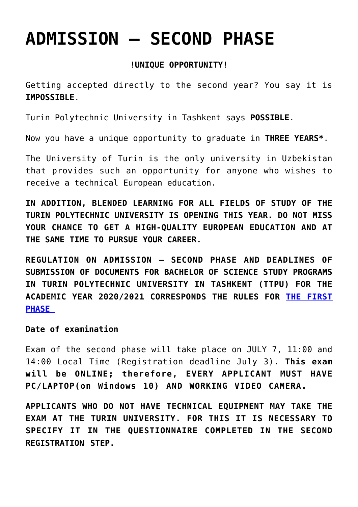# **[ADMISSION – SECOND PHASE](https://polito.uz/7031/)**

## **!UNIQUE OPPORTUNITY!**

Getting accepted directly to the second year? You say it is **IMPOSSIBLE**.

Turin Polytechnic University in Tashkent says **POSSIBLE**.

Now you have a unique opportunity to graduate in **THREE YEARS\***.

The University of Turin is the only university in Uzbekistan that provides such an opportunity for anyone who wishes to receive a technical European education.

**IN ADDITION, BLENDED LEARNING FOR ALL FIELDS OF STUDY OF THE TURIN POLYTECHNIC UNIVERSITY IS OPENING THIS YEAR. DO NOT MISS YOUR CHANCE TO GET A HIGH-QUALITY EUROPEAN EDUCATION AND AT THE SAME TIME TO PURSUE YOUR CAREER.**

**REGULATION ON ADMISSION – SECOND PHASE AND DEADLINES OF SUBMISSION OF DOCUMENTS FOR BACHELOR OF SCIENCE STUDY PROGRAMS IN TURIN POLYTECHNIC UNIVERSITY IN TASHKENT (TTPU) FOR THE ACADEMIC YEAR 2020/2021 CORRESPONDS THE RULES FOR [THE FIRST](http://new.polito.uz/en/2020/05/03/admission-2020/) [PHASE](http://new.polito.uz/en/2020/05/03/admission-2020/)** 

**Date of examination**

Exam of the second phase will take place on JULY 7, 11:00 and 14:00 Local Time (Registration deadline July 3). **This exam will be ONLINE; therefore, EVERY APPLICANT MUST HAVE PC/LAPTOP(on Windows 10) AND WORKING VIDEO CAMERA.**

**APPLICANTS WHO DO NOT HAVE TECHNICAL EQUIPMENT MAY TAKE THE EXAM AT THE TURIN UNIVERSITY. FOR THIS IT IS NECESSARY TO SPECIFY IT IN THE QUESTIONNAIRE COMPLETED IN THE SECOND REGISTRATION STEP.**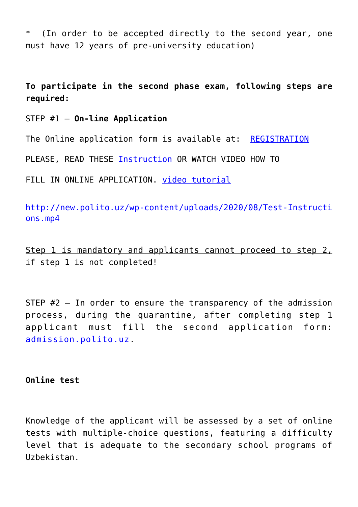\* (In order to be accepted directly to the second year, one must have 12 years of pre-university education)

**To participate in the second phase exam, following steps are required:**

STEP #1 – **On-line Application**

The Online application form is available at: [REGISTRATION](https://didattica.polito.it/pls/portal30/sviluppo.pkg_apply.registrazione)

PLEASE, READ THESE [Instruction](http://new.polito.uz/wp-content/uploads/Manual_ENG.pdf) OR WATCH VIDEO HOW TO

FILL IN ONLINE APPLICATION. [video tutorial](http://test.polito.uz/wp-content/uploads/2020/05/Admission-Instruction_3.mp4?_=1)

[http://new.polito.uz/wp-content/uploads/2020/08/Test-Instructi](http://new.polito.uz/wp-content/uploads/2020/08/Test-Instructions.mp4) [ons.mp4](http://new.polito.uz/wp-content/uploads/2020/08/Test-Instructions.mp4)

Step 1 is mandatory and applicants cannot proceed to step 2, if step 1 is not completed!

STEP #2 – In order to ensure the transparency of the admission process, during the quarantine, after completing step 1 applicant must fill the second application form: [admission.polito.uz.](https://admission.polito.uz/)

**Online test**

Knowledge of the applicant will be assessed by a set of online tests with multiple-choice questions, featuring a difficulty level that is adequate to the secondary school programs of Uzbekistan.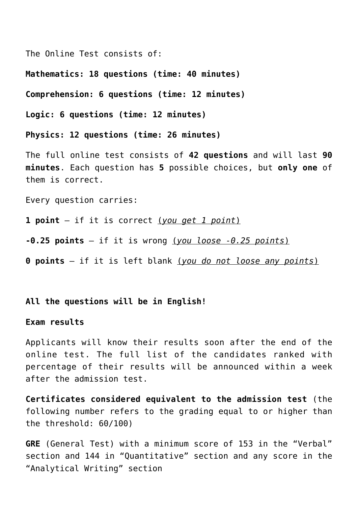The Online Test consists of:

**Mathematics: 18 questions (time: 40 minutes)**

**Comprehension: 6 questions (time: 12 minutes)**

**Logic: 6 questions (time: 12 minutes)**

**Physics: 12 questions (time: 26 minutes)**

The full online test consists of **42 questions** and will last **90 minutes**. Each question has **5** possible choices, but **only one** of them is correct.

Every question carries:

**1 point** – if it is correct (*you get 1 point*)

**-0.25 points** – if it is wrong (*you loose -0.25 points*)

**0 points** – if it is left blank (*you do not loose any points*)

#### **All the questions will be in English!**

#### **Exam results**

Applicants will know their results soon after the end of the online test. The full list of the candidates ranked with percentage of their results will be announced within a week after the admission test.

**Certificates considered equivalent to the admission test** (the following number refers to the grading equal to or higher than the threshold: 60/100)

**GRE** (General Test) with a minimum score of 153 in the "Verbal" section and 144 in "Quantitative" section and any score in the "Analytical Writing" section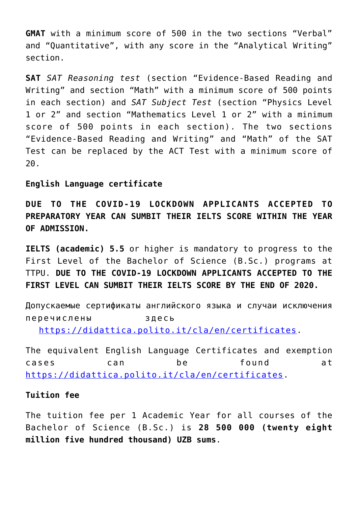**GMAT** with a minimum score of 500 in the two sections "Verbal" and "Quantitative", with any score in the "Analytical Writing" section.

**SAT** *SAT Reasoning test* (section "Evidence-Based Reading and Writing" and section "Math" with a minimum score of 500 points in each section) and *SAT Subject Test* (section "Physics Level 1 or 2" and section "Mathematics Level 1 or 2" with a minimum score of 500 points in each section). The two sections "Evidence-Based Reading and Writing" and "Math" of the SAT Test can be replaced by the ACT Test with a minimum score of 20.

**English Language certificate**

**DUE TO THE COVID-19 LOCKDOWN APPLICANTS ACCEPTED TO PREPARATORY YEAR CAN SUMBIT THEIR IELTS SCORE WITHIN THE YEAR OF ADMISSION.**

**IELTS (academic) 5.5** or higher is mandatory to progress to the First Level of the Bachelor of Science (B.Sc.) programs at TTPU. **DUE TO THE COVID-19 LOCKDOWN APPLICANTS ACCEPTED TO THE FIRST LEVEL CAN SUMBIT THEIR IELTS SCORE BY THE END OF 2020.**

Допускаемые сертификаты английского языка и случаи исключения перечислены здесь

[https://didattica.polito.it/cla/en/certificates.](https://didattica.polito.it/cla/en/certificates)

The equivalent English Language Certificates and exemption cases can be found at <https://didattica.polito.it/cla/en/certificates>.

### **Tuition fee**

The tuition fee per 1 Academic Year for all courses of the Bachelor of Science (B.Sc.) is **28 500 000 (twenty eight million five hundred thousand) UZB sums**.